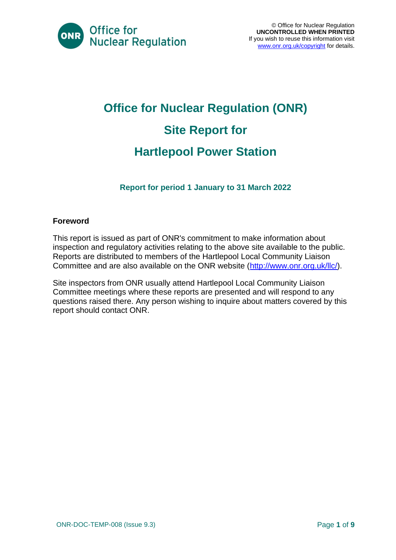

# **Office for Nuclear Regulation (ONR) Site Report for Hartlepool Power Station**

**Report for period 1 January to 31 March 2022**

#### **Foreword**

This report is issued as part of ONR's commitment to make information about inspection and regulatory activities relating to the above site available to the public. Reports are distributed to members of the Hartlepool Local Community Liaison Committee and are also available on the ONR website [\(http://www.onr.org.uk/llc/\)](http://www.onr.org.uk/llc/).

Site inspectors from ONR usually attend Hartlepool Local Community Liaison Committee meetings where these reports are presented and will respond to any questions raised there. Any person wishing to inquire about matters covered by this report should contact ONR.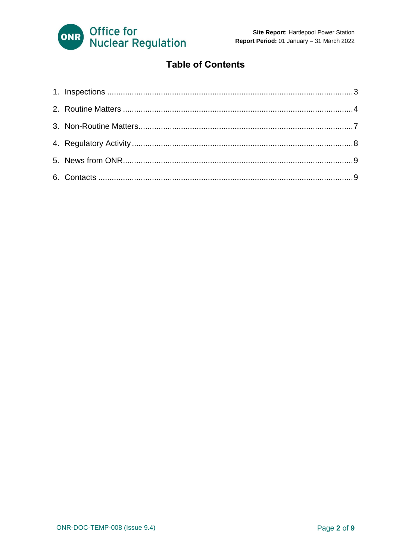

### **Table of Contents**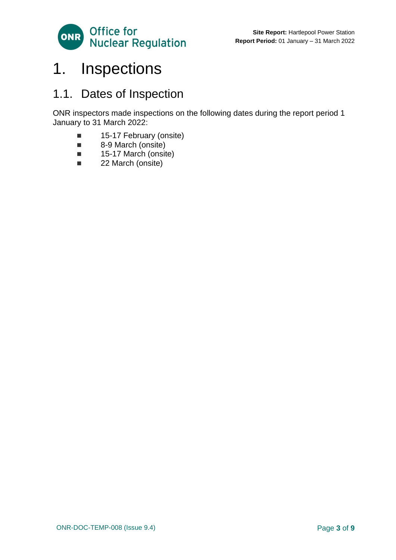

## <span id="page-2-0"></span>1. Inspections

### 1.1. Dates of Inspection

ONR inspectors made inspections on the following dates during the report period 1 January to 31 March 2022:

- 15-17 February (onsite)
- 8-9 March (onsite)
- 15-17 March (onsite)
- 22 March (onsite)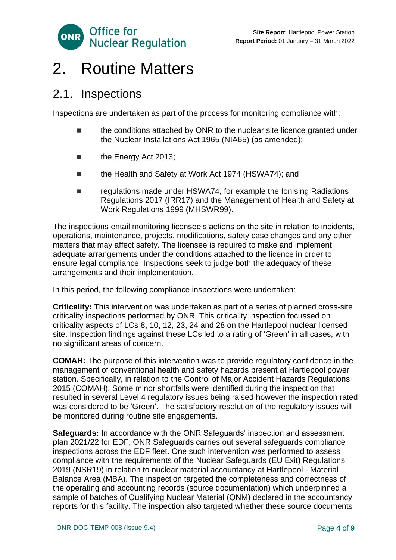

## <span id="page-3-0"></span>2. Routine Matters

### 2.1. Inspections

Inspections are undertaken as part of the process for monitoring compliance with:

- the conditions attached by ONR to the nuclear site licence granted under the Nuclear Installations Act 1965 (NIA65) (as amended);
- the Energy Act 2013;
- the Health and Safety at Work Act 1974 (HSWA74); and
- regulations made under HSWA74, for example the Ionising Radiations Regulations 2017 (IRR17) and the Management of Health and Safety at Work Regulations 1999 (MHSWR99).

The inspections entail monitoring licensee's actions on the site in relation to incidents, operations, maintenance, projects, modifications, safety case changes and any other matters that may affect safety. The licensee is required to make and implement adequate arrangements under the conditions attached to the licence in order to ensure legal compliance. Inspections seek to judge both the adequacy of these arrangements and their implementation.

In this period, the following compliance inspections were undertaken:

**Criticality:** This intervention was undertaken as part of a series of planned cross-site criticality inspections performed by ONR. This criticality inspection focussed on criticality aspects of LCs 8, 10, 12, 23, 24 and 28 on the Hartlepool nuclear licensed site. Inspection findings against these LCs led to a rating of 'Green' in all cases, with no significant areas of concern.

**COMAH:** The purpose of this intervention was to provide regulatory confidence in the management of conventional health and safety hazards present at Hartlepool power station. Specifically, in relation to the Control of Major Accident Hazards Regulations 2015 (COMAH). Some minor shortfalls were identified during the inspection that resulted in several Level 4 regulatory issues being raised however the inspection rated was considered to be 'Green'. The satisfactory resolution of the regulatory issues will be monitored during routine site engagements.

**Safeguards:** In accordance with the ONR Safeguards' inspection and assessment plan 2021/22 for EDF, ONR Safeguards carries out several safeguards compliance inspections across the EDF fleet. One such intervention was performed to assess compliance with the requirements of the Nuclear Safeguards (EU Exit) Regulations 2019 (NSR19) in relation to nuclear material accountancy at Hartlepool - Material Balance Area (MBA). The inspection targeted the completeness and correctness of the operating and accounting records (source documentation) which underpinned a sample of batches of Qualifying Nuclear Material (QNM) declared in the accountancy reports for this facility. The inspection also targeted whether these source documents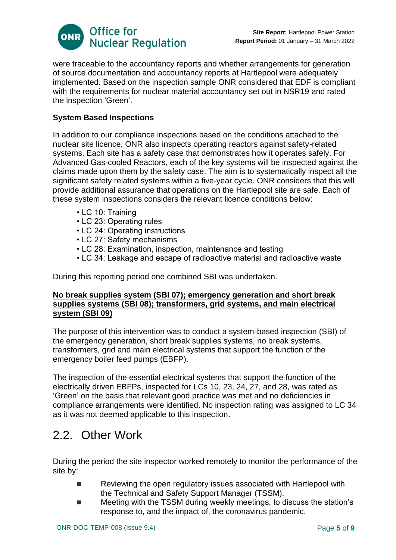

were traceable to the accountancy reports and whether arrangements for generation of source documentation and accountancy reports at Hartlepool were adequately implemented. Based on the inspection sample ONR considered that EDF is compliant with the requirements for nuclear material accountancy set out in NSR19 and rated the inspection 'Green'.

#### **System Based Inspections**

In addition to our compliance inspections based on the conditions attached to the nuclear site licence, ONR also inspects operating reactors against safety-related systems. Each site has a safety case that demonstrates how it operates safely. For Advanced Gas-cooled Reactors, each of the key systems will be inspected against the claims made upon them by the safety case. The aim is to systematically inspect all the significant safety related systems within a five-year cycle. ONR considers that this will provide additional assurance that operations on the Hartlepool site are safe. Each of these system inspections considers the relevant licence conditions below:

- LC 10: Training
- LC 23: Operating rules
- LC 24: Operating instructions
- LC 27: Safety mechanisms
- LC 28: Examination, inspection, maintenance and testing
- LC 34: Leakage and escape of radioactive material and radioactive waste

During this reporting period one combined SBI was undertaken.

#### **No break supplies system (SBI 07); emergency generation and short break supplies systems (SBI 08); transformers, grid systems, and main electrical system (SBI 09)**

The purpose of this intervention was to conduct a system-based inspection (SBI) of the emergency generation, short break supplies systems, no break systems, transformers, grid and main electrical systems that support the function of the emergency boiler feed pumps (EBFP).

The inspection of the essential electrical systems that support the function of the electrically driven EBFPs, inspected for LCs 10, 23, 24, 27, and 28, was rated as 'Green' on the basis that relevant good practice was met and no deficiencies in compliance arrangements were identified. No inspection rating was assigned to LC 34 as it was not deemed applicable to this inspection.

### 2.2. Other Work

During the period the site inspector worked remotely to monitor the performance of the site by:

- Reviewing the open regulatory issues associated with Hartlepool with the Technical and Safety Support Manager (TSSM).
- Meeting with the TSSM during weekly meetings, to discuss the station's response to, and the impact of, the coronavirus pandemic.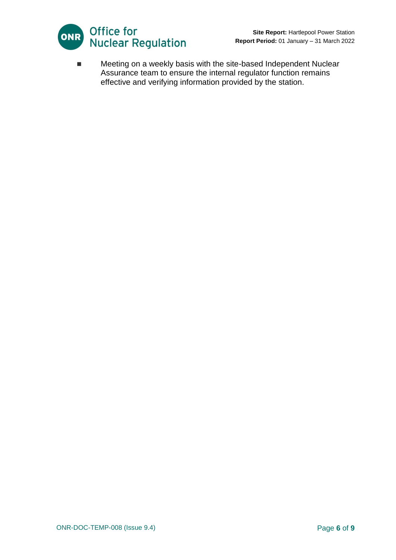

■ Meeting on a weekly basis with the site-based Independent Nuclear Assurance team to ensure the internal regulator function remains effective and verifying information provided by the station.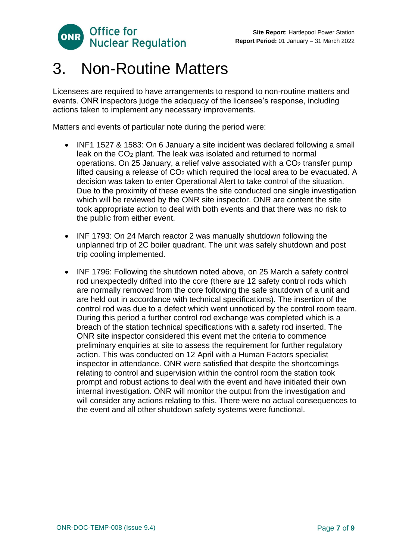

## <span id="page-6-0"></span>3. Non-Routine Matters

Licensees are required to have arrangements to respond to non-routine matters and events. ONR inspectors judge the adequacy of the licensee's response, including actions taken to implement any necessary improvements.

Matters and events of particular note during the period were:

- INF1 1527 & 1583: On 6 January a site incident was declared following a small leak on the CO<sub>2</sub> plant. The leak was isolated and returned to normal operations. On 25 January, a relief valve associated with a  $CO<sub>2</sub>$  transfer pump lifted causing a release of  $CO<sub>2</sub>$  which required the local area to be evacuated. A decision was taken to enter Operational Alert to take control of the situation. Due to the proximity of these events the site conducted one single investigation which will be reviewed by the ONR site inspector. ONR are content the site took appropriate action to deal with both events and that there was no risk to the public from either event.
- INF 1793: On 24 March reactor 2 was manually shutdown following the unplanned trip of 2C boiler quadrant. The unit was safely shutdown and post trip cooling implemented.
- INF 1796: Following the shutdown noted above, on 25 March a safety control rod unexpectedly drifted into the core (there are 12 safety control rods which are normally removed from the core following the safe shutdown of a unit and are held out in accordance with technical specifications). The insertion of the control rod was due to a defect which went unnoticed by the control room team. During this period a further control rod exchange was completed which is a breach of the station technical specifications with a safety rod inserted. The ONR site inspector considered this event met the criteria to commence preliminary enquiries at site to assess the requirement for further regulatory action. This was conducted on 12 April with a Human Factors specialist inspector in attendance. ONR were satisfied that despite the shortcomings relating to control and supervision within the control room the station took prompt and robust actions to deal with the event and have initiated their own internal investigation. ONR will monitor the output from the investigation and will consider any actions relating to this. There were no actual consequences to the event and all other shutdown safety systems were functional.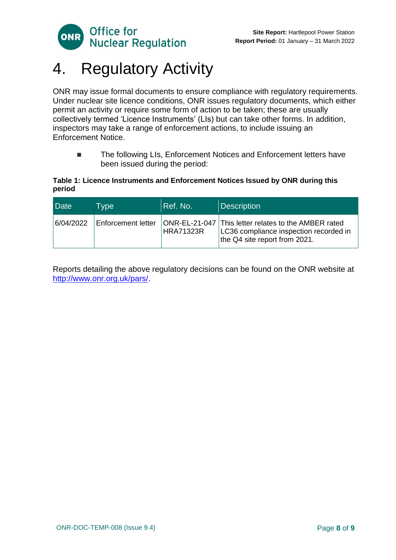

# <span id="page-7-0"></span>4. Regulatory Activity

ONR may issue formal documents to ensure compliance with regulatory requirements. Under nuclear site licence conditions, ONR issues regulatory documents, which either permit an activity or require some form of action to be taken; these are usually collectively termed 'Licence Instruments' (LIs) but can take other forms. In addition, inspectors may take a range of enforcement actions, to include issuing an Enforcement Notice.

■ The following LIs, Enforcement Notices and Enforcement letters have been issued during the period:

#### **Table 1: Licence Instruments and Enforcement Notices Issued by ONR during this period**

| Date      | Type               | Ref. No.         | <b>Description</b>                                                                                                              |
|-----------|--------------------|------------------|---------------------------------------------------------------------------------------------------------------------------------|
| 6/04/2022 | Enforcement letter | <b>HRA71323R</b> | ONR-EL-21-047 This letter relates to the AMBER rated<br>LC36 compliance inspection recorded in<br>the Q4 site report from 2021. |

Reports detailing the above regulatory decisions can be found on the ONR website at [http://www.onr.org.uk/pars/.](http://www.onr.org.uk/pars/)